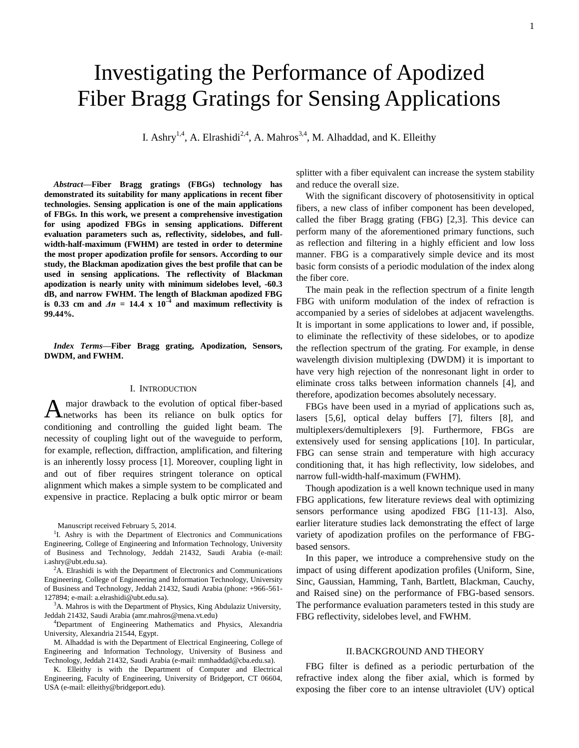# Investigating the Performance of Apodized Fiber Bragg Gratings for Sensing Applications

I. Ashry<sup>1,4</sup>, A. Elrashidi<sup>2,4</sup>, A. Mahros<sup>3,4</sup>, M. Alhaddad, and K. Elleithy

*Abstract***—Fiber Bragg gratings (FBGs) technology has demonstrated its suitability for many applications in recent fiber technologies. Sensing application is one of the main applications of FBGs. In this work, we present a comprehensive investigation for using apodized FBGs in sensing applications. Different evaluation parameters such as, reflectivity, sidelobes, and fullwidth-half-maximum (FWHM) are tested in order to determine the most proper apodization profile for sensors. According to our study, the Blackman apodization gives the best profile that can be used in sensing applications. The reflectivity of Blackman apodization is nearly unity with minimum sidelobes level, -60.3 dB, and narrow FWHM. The length of Blackman apodized FBG**  is  $0.33$  cm and  $\Delta n = 14.4 \times 10^{-4}$  and maximum reflectivity is **99.44%.** 

*Index Terms***—Fiber Bragg grating, Apodization, Sensors, DWDM, and FWHM.**

#### I. INTRODUCTION

major drawback to the evolution of optical fiber-based A major drawback to the evolution of optical fiber-based<br>
Anetworks has been its reliance on bulk optics for conditioning and controlling the guided light beam. The necessity of coupling light out of the waveguide to perform, for example, reflection, diffraction, amplification, and filtering is an inherently lossy process [1]. Moreover, coupling light in and out of fiber requires stringent tolerance on optical alignment which makes a simple system to be complicated and expensive in practice. Replacing a bulk optic mirror or beam

Manuscript received February 5, 2014.

<sup>1</sup>I. Ashry is with the Department of Electronics and Communications Engineering, College of Engineering and Information Technology, University of Business and Technology, Jeddah 21432, Saudi Arabia (e-mail: [i.ashry@ubt.edu.sa\)](mailto:i.ashry@ubt.edu.sa).

 ${}^{2}$ A. Elrashidi is with the Department of Electronics and Communications Engineering, College of Engineering and Information Technology, University of Business and Technology, Jeddah 21432, Saudi Arabia (phone: +966-561- 127894; e-mail: a.elrashidi@ubt.edu.sa).

<sup>3</sup>A. Mahros is with the Department of Physics, King Abdulaziz University, Jeddah 21432, Saudi Arabia (amr.mahros@mena.vt.edu)

<sup>4</sup>Department of Engineering Mathematics and Physics, Alexandria University, Alexandria 21544, Egypt.

M. Alhaddad is with the Department of Electrical Engineering, College of Engineering and Information Technology, University of Business and Technology, Jeddah 21432, Saudi Arabia (e-mail: [mmhaddad@cba.edu.sa\)](https://webmail.ubt.edu.sa/OWA/redir.aspx?C=__7Wu-kZ40eBdCyoB1MnTIScrpQX7dAIcsmrzBDCxqTIutLnz85YYObHVwPt4I9jdrbkx241KI0.&URL=mailto%3ammhaddad%40cba.edu.sa).

K. Elleithy is with the Department of Computer and Electrical Engineering, Faculty of Engineering, University of Bridgeport, CT 06604, USA (e-mail: [elleithy@bridgeport.edu\).](mailto:elleithy@bridgeport.edu)

splitter with a fiber equivalent can increase the system stability and reduce the overall size.

With the significant discovery of photosensitivity in optical fibers, a new class of infiber component has been developed, called the fiber Bragg grating (FBG) [2,3]. This device can perform many of the aforementioned primary functions, such as reflection and filtering in a highly efficient and low loss manner. FBG is a comparatively simple device and its most basic form consists of a periodic modulation of the index along the fiber core.

The main peak in the reflection spectrum of a finite length FBG with uniform modulation of the index of refraction is accompanied by a series of sidelobes at adjacent wavelengths. It is important in some applications to lower and, if possible, to eliminate the reflectivity of these sidelobes, or to apodize the reflection spectrum of the grating. For example, in dense wavelength division multiplexing (DWDM) it is important to have very high rejection of the nonresonant light in order to eliminate cross talks between information channels [4], and therefore, apodization becomes absolutely necessary.

FBGs have been used in a myriad of applications such as, lasers [5,6], optical delay buffers [7], filters [8], and multiplexers/demultiplexers [9]. Furthermore, FBGs are extensively used for sensing applications [10]. In particular, FBG can sense strain and temperature with high accuracy conditioning that, it has high reflectivity, low sidelobes, and narrow full-width-half-maximum (FWHM).

Though apodization is a well known technique used in many FBG applications, few literature reviews deal with optimizing sensors performance using apodized FBG [11-13]. Also, earlier literature studies lack demonstrating the effect of large variety of apodization profiles on the performance of FBGbased sensors.

In this paper, we introduce a comprehensive study on the impact of using different apodization profiles (Uniform, Sine, Sinc, Gaussian, Hamming, Tanh, Bartlett, Blackman, Cauchy, and Raised sine) on the performance of FBG-based sensors. The performance evaluation parameters tested in this study are FBG reflectivity, sidelobes level, and FWHM.

## II.BACKGROUND AND THEORY

FBG filter is defined as a periodic perturbation of the refractive index along the fiber axial, which is formed by exposing the fiber core to an intense ultraviolet (UV) optical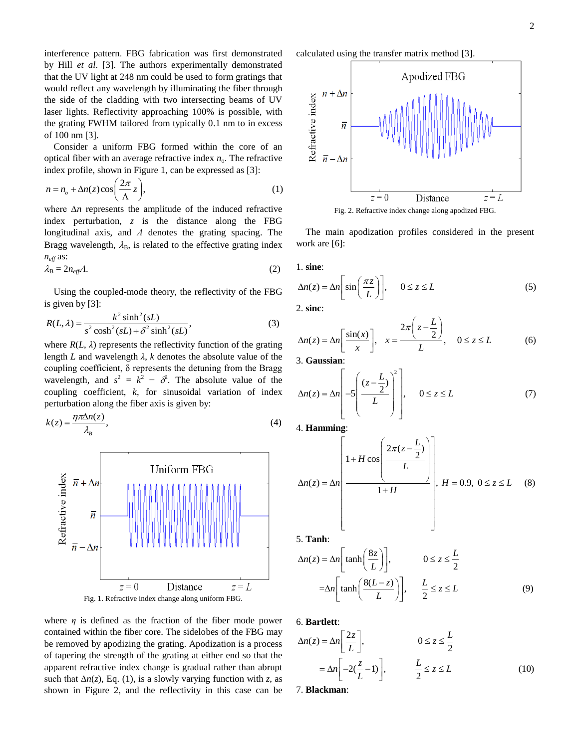interference pattern. FBG fabrication was first demonstrated by Hill *et al*. [3]. The authors experimentally demonstrated that the UV light at 248 nm could be used to form gratings that would reflect any wavelength by illuminating the fiber through the side of the cladding with two intersecting beams of UV laser lights. Reflectivity approaching 100% is possible, with the grating FWHM tailored from typically 0.1 nm to in excess of 100 nm [3].

Consider a uniform FBG formed within the core of an optical fiber with an average refractive index  $n<sub>o</sub>$ . The refractive

optical fiber with an average refractive index 
$$
n_0
$$
. The refractive index profile, shown in Figure 1, can be expressed as [3]:  
\n
$$
n = n_o + \Delta n(z) \cos\left(\frac{2\pi}{\Lambda} z\right),
$$
\n(1)

where ∆*n* represents the amplitude of the induced refractive index perturbation, *z* is the distance along the FBG longitudinal axis, and *Λ* denotes the grating spacing. The Bragg wavelength,  $\lambda_B$ , is related to the effective grating index *neff* as:

$$
\lambda_{\rm B} = 2n_{\rm eff}A. \tag{2}
$$

Using the coupled-mode theory, the reflectivity of the FBG is given by [3]: <sup>2</sup> sinh<sup>2</sup>

is given by [3]:  
\n
$$
R(L,\lambda) = \frac{k^2 \sinh^2(sL)}{s^2 \cosh^2(sL) + \delta^2 \sinh^2(sL)},
$$
\n(3)

where  $R(L, \lambda)$  represents the reflectivity function of the grating length *L* and wavelength *λ*, *k* denotes the absolute value of the coupling coefficient, δ represents the detuning from the Bragg wavelength, and  $s^2 = k^2 - \delta^2$ . The absolute value of the coupling coefficient, *k*, for sinusoidal variation of index

$$
k(z) = \frac{\eta \pi \Delta n(z)}{\lambda_B},
$$
\n(4)





where *η* is defined as the fraction of the fiber mode power contained within the fiber core. The sidelobes of the FBG may be removed by apodizing the grating. Apodization is a process of tapering the strength of the grating at either end so that the apparent refractive index change is gradual rather than abrupt such that ∆*n*(*z*), Eq. (1), is a slowly varying function with *z*, as shown in Figure 2, and the reflectivity in this case can be

calculated using the transfer matrix method [3].



Fig. 2. Refractive index change along apodized FBG.

The main apodization profiles considered in the present work are [6]:

1. **sine**:

1. sine:  
\n
$$
\Delta n(z) = \Delta n \left[ \sin \left( \frac{\pi z}{L} \right) \right], \quad 0 \le z \le L
$$
\n(5)

2. **sinc**:

2. sinc:  
\n
$$
\Delta n(z) = \Delta n \left[ \frac{\sin(x)}{x} \right], \quad x = \frac{2\pi \left( z - \frac{L}{2} \right)}{L}, \quad 0 \le z \le L
$$
\n(6)

3. **Gaussian**:

3. Gaussian:  
\n
$$
\Delta n(z) = \Delta n \left[ -5 \left( \frac{(z - \frac{L}{2})}{L} \right)^2 \right], \quad 0 \le z \le L
$$
\n(7)

4. **Hamming**:

4. **Hamming:**  
\n
$$
\Delta n(z) = \Delta n \left( \frac{1 + H \cos \left( \frac{2\pi (z - \frac{L}{2})}{L} \right)}{1 + H} \right), H = 0.9, 0 \le z \le L \quad (8)
$$

5. **Tanh**:

5. **Tanh**:  
\n
$$
\Delta n(z) = \Delta n \left[ \tanh \left( \frac{8z}{L} \right) \right], \qquad 0 \le z \le \frac{L}{2}
$$
\n
$$
= \Delta n \left[ \tanh \left( \frac{8(L-z)}{L} \right) \right], \qquad \frac{L}{2} \le z \le L \tag{9}
$$

6. **Bartlett**:

6. Bartlett:  
\n
$$
\Delta n(z) = \Delta n \left[ \frac{2z}{L} \right], \qquad 0 \le z \le \frac{L}{2}
$$
\n
$$
= \Delta n \left[ -2(\frac{z}{L} - 1) \right], \qquad \frac{L}{2} \le z \le L \qquad (10)
$$

7. **Blackman**: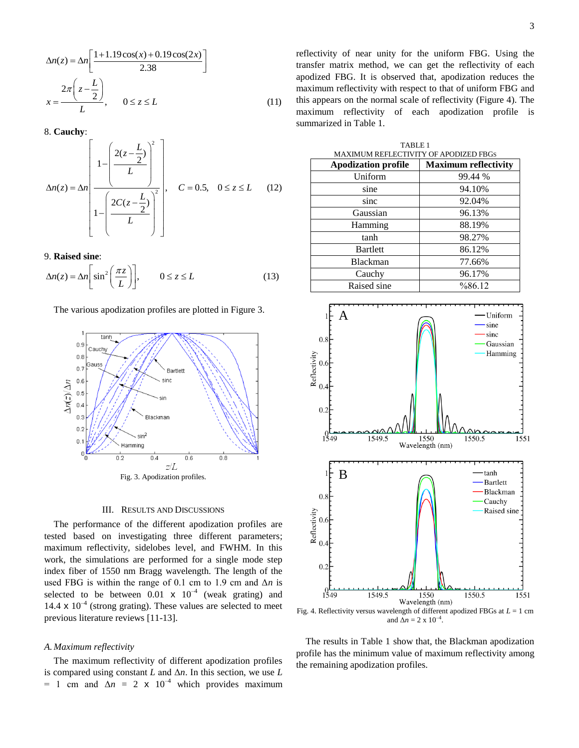$$
\Delta n(z) = \Delta n \left[ \frac{1+1.19\cos(x) + 0.19\cos(2x)}{2.38} \right]
$$

$$
x = \frac{2\pi \left(z - \frac{L}{2}\right)}{L}, \qquad 0 \le z \le L \tag{11}
$$

8. **Cauchy**:

8. Cauchy:  
\n
$$
\Delta n(z) = \Delta n \left[ \frac{1 - \left( \frac{2(z - \frac{L}{2})}{L} \right)^2}{1 - \left( \frac{2C(z - \frac{L}{2})}{L} \right)^2}, \quad C = 0.5, \quad 0 \le z \le L \quad (12)
$$

## 9. **Raised sine**:

9. Raised sine:  
\n
$$
\Delta n(z) = \Delta n \left[ \sin^2 \left( \frac{\pi z}{L} \right) \right], \qquad 0 \le z \le L \tag{13}
$$

The various apodization profiles are plotted in Figure 3.



### III. RESULTS AND DISCUSSIONS

The performance of the different apodization profiles are tested based on investigating three different parameters; maximum reflectivity, sidelobes level, and FWHM. In this work, the simulations are performed for a single mode step index fiber of 1550 nm Bragg wavelength. The length of the used FBG is within the range of 0.1 cm to 1.9 cm and Δ*n* is selected to be between  $0.01 \times 10^{-4}$  (weak grating) and 14.4  $\times$  10<sup>-4</sup> (strong grating). These values are selected to meet previous literature reviews [11-13].

#### *A. Maximum reflectivity*

The maximum reflectivity of different apodization profiles is compared using constant  $L$  and  $\Delta n$ . In this section, we use  $L$  $= 1$  cm and  $\Delta n = 2 \times 10^{-4}$  which provides maximum reflectivity of near unity for the uniform FBG. Using the transfer matrix method, we can get the reflectivity of each apodized FBG. It is observed that, apodization reduces the maximum reflectivity with respect to that of uniform FBG and this appears on the normal scale of reflectivity (Figure 4). The maximum reflectivity of each apodization profile is summarized in Table 1.

| TABLE <sub>1</sub>                    |                             |  |
|---------------------------------------|-----------------------------|--|
| MAXIMUM REFLECTIVITY OF APODIZED FBGS |                             |  |
| <b>Apodization profile</b>            | <b>Maximum reflectivity</b> |  |
| Uniform                               | 99.44 %                     |  |
| sine                                  | 94.10%                      |  |
| sinc                                  | 92.04%                      |  |
| Gaussian                              | 96.13%                      |  |
| Hamming                               | 88.19%                      |  |
| tanh                                  | 98.27%                      |  |
| <b>Bartlett</b>                       | 86.12%                      |  |
| <b>Blackman</b>                       | 77.66%                      |  |
| Cauchy                                | 96.17%                      |  |
| Raised sine                           | %86.12                      |  |



and  $\Delta n = 2 \times 10^{-4}$ .

The results in Table 1 show that, the Blackman apodization profile has the minimum value of maximum reflectivity among the remaining apodization profiles.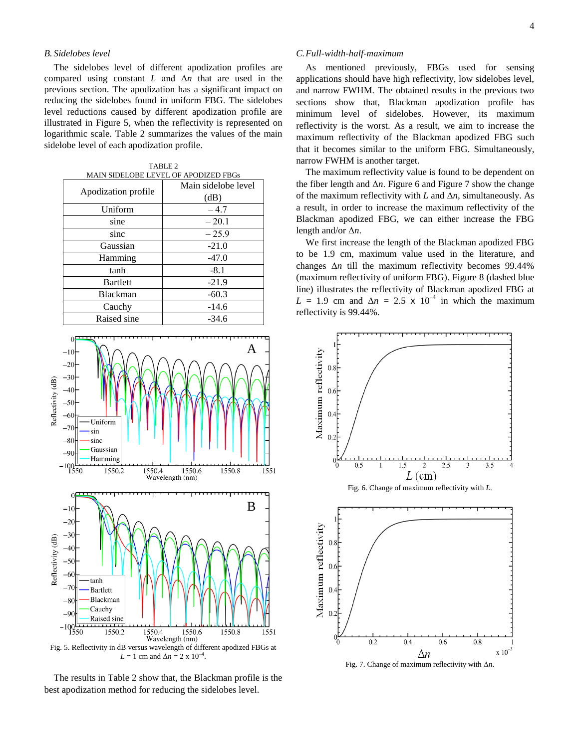## *B. Sidelobes level*

The sidelobes level of different apodization profiles are compared using constant *L* and Δ*n* that are used in the previous section. The apodization has a significant impact on reducing the sidelobes found in uniform FBG. The sidelobes level reductions caused by different apodization profile are illustrated in Figure 5, when the reflectivity is represented on logarithmic scale. Table 2 summarizes the values of the main sidelobe level of each apodization profile.

| TABLE 2                              |                  |
|--------------------------------------|------------------|
| MAIN SIDELOBE LEVEL OF APODIZED FBGs |                  |
|                                      | Main sidelobe le |

| Apodization profile | Main sidelobe level |
|---------------------|---------------------|
|                     | (dB)                |
| Uniform             | $-4.7$              |
| sine                | $-20.1$             |
| sinc                | $-25.9$             |
| Gaussian            | $-21.0$             |
| Hamming             | $-47.0$             |
| tanh                | $-8.1$              |
| <b>Bartlett</b>     | $-21.9$             |
| <b>Blackman</b>     | $-60.3$             |
| Cauchy              | $-14.6$             |
| Raised sine         | $-34.6$             |



Fig. 5. Reflectivity in dB versus wavelength of different apodized FBGs at *L* = 1 cm and  $\Delta n = 2 \times 10^{-4}$ .

The results in Table 2 show that, the Blackman profile is the best apodization method for reducing the sidelobes level.

## *C.Full-width-half-maximum*

As mentioned previously, FBGs used for sensing applications should have high reflectivity, low sidelobes level, and narrow FWHM. The obtained results in the previous two sections show that, Blackman apodization profile has minimum level of sidelobes. However, its maximum reflectivity is the worst. As a result, we aim to increase the maximum reflectivity of the Blackman apodized FBG such that it becomes similar to the uniform FBG. Simultaneously, narrow FWHM is another target.

The maximum reflectivity value is found to be dependent on the fiber length and Δ*n*. Figure 6 and Figure 7 show the change of the maximum reflectivity with  $L$  and  $\Delta n$ , simultaneously. As a result, in order to increase the maximum reflectivity of the Blackman apodized FBG, we can either increase the FBG length and/or Δ*n*.

We first increase the length of the Blackman apodized FBG to be 1.9 cm, maximum value used in the literature, and changes Δ*n* till the maximum reflectivity becomes 99.44% (maximum reflectivity of uniform FBG). Figure 8 (dashed blue line) illustrates the reflectivity of Blackman apodized FBG at  $L = 1.9$  cm and  $\Delta n = 2.5 \times 10^{-4}$  in which the maximum reflectivity is 99.44%.



Fig. 7. Change of maximum reflectivity with Δ*n*.